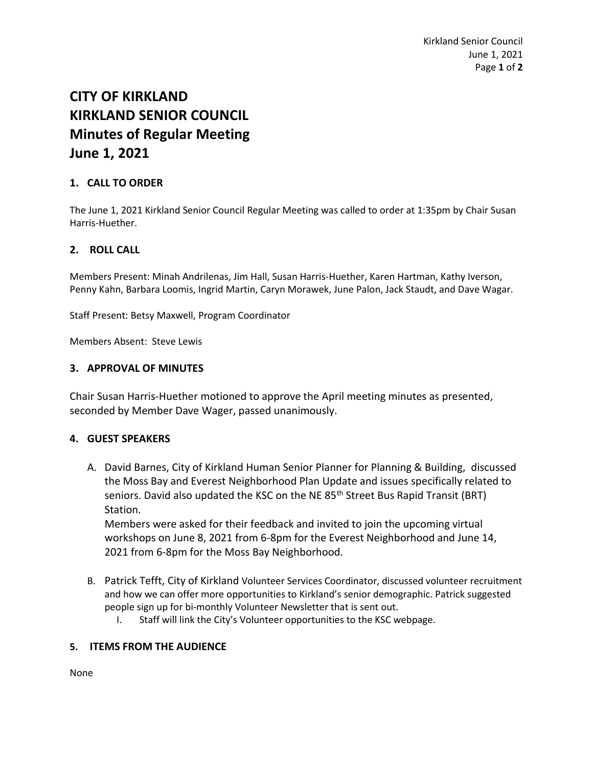# **CITY OF KIRKLAND KIRKLAND SENIOR COUNCIL Minutes of Regular Meeting June 1, 2021**

## **1. CALL TO ORDER**

The June 1, 2021 Kirkland Senior Council Regular Meeting was called to order at 1:35pm by Chair Susan Harris-Huether.

### **2. ROLL CALL**

Members Present: Minah Andrilenas, Jim Hall, Susan Harris-Huether, Karen Hartman, Kathy Iverson, Penny Kahn, Barbara Loomis, Ingrid Martin, Caryn Morawek, June Palon, Jack Staudt, and Dave Wagar.

Staff Present: Betsy Maxwell, Program Coordinator

Members Absent: Steve Lewis

#### **3. APPROVAL OF MINUTES**

Chair Susan Harris-Huether motioned to approve the April meeting minutes as presented, seconded by Member Dave Wager, passed unanimously.

### **4. GUEST SPEAKERS**

A. David Barnes, City of Kirkland Human Senior Planner for Planning & Building, discussed the Moss Bay and Everest Neighborhood Plan Update and issues specifically related to seniors. David also updated the KSC on the NE 85<sup>th</sup> Street Bus Rapid Transit (BRT) Station.

Members were asked for their feedback and invited to join the upcoming virtual workshops on June 8, 2021 from 6-8pm for the Everest Neighborhood and June 14, 2021 from 6-8pm for the Moss Bay Neighborhood.

- B. Patrick Tefft, City of Kirkland Volunteer Services Coordinator, discussed volunteer recruitment and how we can offer more opportunities to Kirkland's senior demographic. Patrick suggested people sign up for bi-monthly Volunteer Newsletter that is sent out.
	- I. Staff will link the City's Volunteer opportunities to the KSC webpage.

### **5. ITEMS FROM THE AUDIENCE**

None